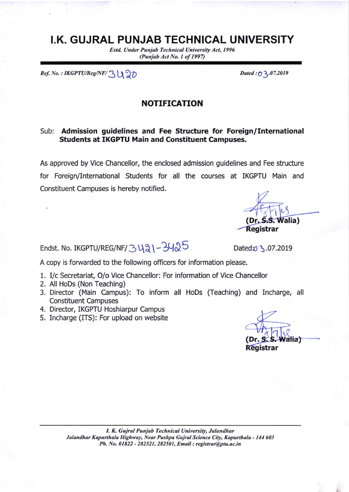## I.K. GUJRAL PUNJAB TECHNICAL UNIVERSITY

Estd. Under Punjab Technical University Act, 1996 (Punjab Act No. 1 of 1997)

Ref. No. : IKGPTU/Reg/NF/  $\mathcal{Z}\bigcup \mathcal{Z}$ l

Dated : 03.07.2019

## NOTIFICATION

## Sub: Admission guidelines and Fee Structure for Foreign/International Students at IKGPTU Main and Constituent Campuses.

As approved by Vice Chancellor, the enclosed admission guidelines and Fee structure for Foreign/International Students for all the courses at IKGPTU Main and Constituent Campuses is hereby notified.

Endst. No. IKGPTU/REG/NF/3 421-3425 Datedo 3.07.2019

Registrar

 $\mathcal{S}_1$ 

 $(Dr, S, S, Walia)$ 

A copy is forwarded to the following officers for information please.

- 1. I/c Secretariat, O/o Vice Chancellor: For information of Vice Chancellor
- 2. All HoDs (Non Teaching)
- 3. Director (Main Campus): To inform all HoDs (Teaching) and Incharge, all Constituent Campuses
- 4. Director, IKGPTU Hoshiarpur Campus
- 5. Incharge (ITS): For upload on website

I. K. Gujral Punjab Technical University, Jalandhar Jalandhar Kapurthala Highway, Near Pushpa Gujral Science City, Kapurthala - 144 603 Ph. No. 01822 - 282521, 282501, Email : registrar@ptu.ac.in

(Dr. **alia**) Registrar